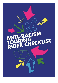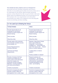This checklist has been created to serve as a framework for discussion between Touring Companies and Venues, whereby it is mutually agreed which anti-racist actions are to be undertaken by the parties. Both baseline and good practice actions listed in the rider are given below, with some further space for additional actions. It is not presumed to be fit for purpose for every organisation in its immediate presentation, but rather to be adapted to best fit alongside current m on itoring and data tracking.



| $\sim$ and $\sim$ case op to Entering the vehicle                                                                                                                                                                                            |  |                                                                                                                                                                                                                                                                               |  |
|----------------------------------------------------------------------------------------------------------------------------------------------------------------------------------------------------------------------------------------------|--|-------------------------------------------------------------------------------------------------------------------------------------------------------------------------------------------------------------------------------------------------------------------------------|--|
| <b>Touring Company</b>                                                                                                                                                                                                                       |  | <b>Venue</b>                                                                                                                                                                                                                                                                  |  |
| <b>Provide Opportunities for all</b><br>employees (on permanent<br>contract) to receive regular Anti<br><b>Racism training</b><br>Which provider:                                                                                            |  | Provide Opportunities for all<br>employees (on permanent<br>contract) to receive regular Anti<br><b>Racism training</b><br>Which provider:                                                                                                                                    |  |
| When/How often:                                                                                                                                                                                                                              |  | When/How often:                                                                                                                                                                                                                                                               |  |
| Provide needs of the production<br>and production members as early<br>as as possible, inc.:<br><b>Access Requirements for</b><br><b>Company Members</b><br><b>Technical and Design</b><br><b>Requirements</b>                                |  | Maintain a Safe Space Charter<br>that is read at Meet and<br>Greets/Get -ins and always<br>available to in -house teams as<br>part of the Venue's Anti - Racism<br>policy (or similar initiatives).<br>Located where on internal<br>system?<br>Publicly available on website? |  |
| Provide a Company Info Pack<br>minimum two weeks prior to<br>arrival, which covers information<br>about the company, the<br>production and the Company<br>Members, including headshots<br>and name pronunciations<br>Timeline of production: |  | Respond positively and<br>proactively to the technical<br>requirements of the production<br>and production requirements<br>including specialisms on hair,<br>make -up and lighting<br>Timeline of production:                                                                 |  |
| Commit to increasing the ethnic<br>diversity of staff to reflect the<br>demographics from a wider range                                                                                                                                      |  | Commit to increasing the ethnic<br>diversity of staff to reflect the<br>demographics from a wider                                                                                                                                                                             |  |

### $\overline{\phantom{a}}$  In t he Lead Lin to Entering the Venue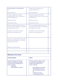| of communities if it currently does<br>not.                                                     | range of communities if it<br>currently does not.                                             |  |
|-------------------------------------------------------------------------------------------------|-----------------------------------------------------------------------------------------------|--|
| Self-evaluation:                                                                                | $Self-evaluation:$                                                                            |  |
| Provide regular anti-racism<br>training offers for the company's<br>pool of free lancers        | Provide regular anti-racism<br>training offers for the venue's pool<br>offreelancers          |  |
| Which provider:                                                                                 | Which provider:                                                                               |  |
| When/How often:                                                                                 | When/How often:                                                                               |  |
| Ensure organisational awareness<br>of cultural and religious calendars<br>throughout the year   | Ensure organisational awareness<br>of cultural and religious calendars<br>throughout the year |  |
| Notable events/dates during<br>production engagement:                                           | Notable events/dates during<br>production engagement:                                         |  |
| Carry out an induction process for<br>rehearsals, including an out-loud<br>reading of the rider |                                                                                               |  |
| Tim eline of production:                                                                        |                                                                                               |  |
|                                                                                                 |                                                                                               |  |
|                                                                                                 |                                                                                               |  |

## Welcome to the Venue

| <b>Touring Company</b>                                                                                                                                                          | <b>Venue</b>                                                                                                                                                                                                                                                  |  |
|---------------------------------------------------------------------------------------------------------------------------------------------------------------------------------|---------------------------------------------------------------------------------------------------------------------------------------------------------------------------------------------------------------------------------------------------------------|--|
| Provide Company Info Pack as<br>close to contracting as possible<br>and minimum two weeks prior to<br>arrival, including:<br><b>Headshots</b><br><b>Pronunciations of names</b> | Provide a welcome pack as close<br>to contracting as possible and<br>minimum two weeks prior to<br>arrival, including:<br>Demographics of the area<br>Recommended places to<br>eat and things to see and<br>do<br>Transport and map<br>Licensed/approved taxi |  |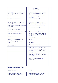|                                                                                                                                          | companies<br>Full staff list.                                                                                                                                              |  |
|------------------------------------------------------------------------------------------------------------------------------------------|----------------------------------------------------------------------------------------------------------------------------------------------------------------------------|--|
| Distribute the Venue's Welcome<br>Pack to the Company at least a<br>week before arriving at the<br>Venue.<br>Timeline of production:     | Indicate to the Touring Company<br>in advance who will be meeting<br>them upon arrival at<br>reception/leading a tour of the<br>$b$ u ild in g.<br>Timeline of production: |  |
| Recce the venue prior to arrival<br>(and preferably prior to<br>programming) and meet with the<br>staff team.<br>Timeline of production: | Make the Touring Company's<br>Company Info Pack available to<br>staff throughout the building.<br>Timeline of production:                                                  |  |
| Provide clear communication and<br>a dedicated contact person<br>Contact person:                                                         | Host a welcome for every<br>production, regardless of length<br>of run, which should be planned<br>to allow for maximum<br>attendance.                                     |  |
| Provide clear arrival times for<br>when the company will arrive<br>together                                                              | When:<br>Form at:                                                                                                                                                          |  |
| Time $(if known):$                                                                                                                       | Expected numbers:                                                                                                                                                          |  |
|                                                                                                                                          | Give every employee (in cluding<br>casual workers) the opportunity<br>to attend the welcome events                                                                         |  |
|                                                                                                                                          | Provide a fully accessible pre-<br>recorded tour of the venue with<br>captions                                                                                             |  |
|                                                                                                                                          | One-off recording, annual<br>updates:                                                                                                                                      |  |
|                                                                                                                                          |                                                                                                                                                                            |  |
|                                                                                                                                          |                                                                                                                                                                            |  |
| <b>Wellbeing &amp; Pastoral Care</b>                                                                                                     |                                                                                                                                                                            |  |
| <b>Touring Company</b>                                                                                                                   | <b>Venue</b>                                                                                                                                                               |  |
| Provide clear information to all<br>freelancers from casting onwards                                                                     | Designate a member of staff as a<br>wellbeing support person who                                                                                                           |  |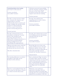| concerning where a tour is going<br>and what it will consist of<br>Commsmethods:<br>Accessible Versions:                                                                                                                                                                          | will share pastoral responsibility<br>with the Touring company whilst<br>they are at the venue. Staff<br>members in this role will receive<br>support and relevant training.<br>Contact person:                                                             |  |
|-----------------------------------------------------------------------------------------------------------------------------------------------------------------------------------------------------------------------------------------------------------------------------------|-------------------------------------------------------------------------------------------------------------------------------------------------------------------------------------------------------------------------------------------------------------|--|
| Provide a contact person within<br>the company for support, and<br>signposting to external<br>professionals where needed; and<br>make available the details of this<br>support to all participating<br>venues as part of any deal<br>memo/contracting process.<br>Contact person: | Provide clear information<br>regarding green rooms, toilets,<br>staff only spaces etc<br>Commsmethods:<br>Accessible Versions:                                                                                                                              |  |
| Provide technical and get-in<br>schedules a m in im um 2 weeks<br>prior to the touring week,<br>ensuring adequate time is<br>allowed for company members to<br>check into accommodation<br>during daylight hours and<br>scheduling this appropriately                             | Provide clear information on how<br>the building operates (including<br>opening, lock-up, on-site<br>personneletc)<br>Commsmethods:<br>Accessible Versions:                                                                                                 |  |
| Allocate dressing rooms with due<br>consideration to cast size, cast<br>makeup and any access needs.<br>Timeline of production:                                                                                                                                                   | Keep digs lists up to date and<br>ensure all digs are pre-checked.<br>Maintain regular contact with<br>digs hosts to ensure all details are<br>up to date and digs remain<br>suitable for Touring Companies.<br>Annualcheck:                                |  |
| Pay touring allowance as early as<br>possible so that digs can be<br>booked well in advance.                                                                                                                                                                                      | Have a dedicated 'Digs' member<br>of staff to liaise with the touring<br>company and advise on areas and<br>safety with particular regards to<br>late evening finishes post-tech or<br>show and company Members<br>travelling home in unfamiliar<br>cities. |  |
| Speak to each land lord before the<br>visit, using the Safe Space Charter<br>as a fram ework for discussion                                                                                                                                                                       | Maintain a zero-tolerance<br>approach in dealing with any<br>reported incidents involving digs<br>and digs list to be maintained and<br>updated in accordance with this.                                                                                    |  |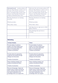| Advocate the anti -racism policy to<br>Theatre Digs Booker so that it can<br>become an accurate and up-to-<br>date centralised digs system that<br>Venues and Touring Companies<br>will pass all information onto. | Advocate the anti-racism policy to<br>Theatre Digs Booker so that it can<br>become an accurate and up-to-<br>date centralised digs system that<br>Venues and Touring Companies<br>will pass all information onto. |  |
|--------------------------------------------------------------------------------------------------------------------------------------------------------------------------------------------------------------------|-------------------------------------------------------------------------------------------------------------------------------------------------------------------------------------------------------------------|--|
| Sharing disclosure on training<br>received                                                                                                                                                                         | Sharing disclosure on training<br>received                                                                                                                                                                        |  |
| Which provider:                                                                                                                                                                                                    | Which provider:                                                                                                                                                                                                   |  |
| When/How often:                                                                                                                                                                                                    | When/How often:                                                                                                                                                                                                   |  |
|                                                                                                                                                                                                                    | Ask digs hosts to sign up to a Safe<br>Space Charter.                                                                                                                                                             |  |
|                                                                                                                                                                                                                    | Diversify digs list and who is<br>$h$ osting.                                                                                                                                                                     |  |
|                                                                                                                                                                                                                    |                                                                                                                                                                                                                   |  |
|                                                                                                                                                                                                                    |                                                                                                                                                                                                                   |  |
| $M$ orleating                                                                                                                                                                                                      |                                                                                                                                                                                                                   |  |

### Marketing

| <b>Touring Company</b>                                                                                                                                                       |  | <b>Venue</b>                                                                                                                                                             |  |
|------------------------------------------------------------------------------------------------------------------------------------------------------------------------------|--|--------------------------------------------------------------------------------------------------------------------------------------------------------------------------|--|
| Provide details of audience<br>targets, how these targets have<br>been set and what expectation<br>there is of meeting them<br>Timeline of production:                       |  | Provide details of audience<br>targets, how these targets have<br>been set and what expectation<br>there is of meeting them<br>Timeline of production:                   |  |
| Provide actions for generating<br>audiences and interest through<br>dialogue and discussion<br>Timeline of production:                                                       |  | Provide actions for generating<br>audiences and interest through<br>dialogue and discussion<br>Timeline of production:                                                   |  |
| Share marketing strategy and<br>audience development plans<br>Timeline of production:                                                                                        |  | Share marketing strategy and<br>audience development plans<br>Timeline of production:                                                                                    |  |
| Discuss all language, image and<br>assets used to market and sell the<br>show, including where each party<br>has distinct specialisms and<br>knowledge which can support the |  | Discuss all language, image and<br>assets used to market and sell the<br>show, including where each party<br>has distinct specialisms and<br>knowledge which can support |  |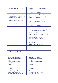| approach to marketing and sales<br>Tim eline of production:                                                                                                                               | the approach to marketing and<br>sales<br>Timeline of production:                                                                                                                                                                                  |  |
|-------------------------------------------------------------------------------------------------------------------------------------------------------------------------------------------|----------------------------------------------------------------------------------------------------------------------------------------------------------------------------------------------------------------------------------------------------|--|
| Meet with Box Office and<br>Marketing staff prior to arrival (as<br>part of recce) or before the first<br>perform ance to discuss<br>production/themes/company<br>Timeline of production: | Share marketing plans and<br>print/pullups with the Touring<br>Company as soon as possible<br>after program m ing, and well in<br>advance of the tour, so there is<br>clarity of expectation from the<br>$b$ eginning.<br>Tim eline of production: |  |
|                                                                                                                                                                                           | Share internally (with marketing<br>teams) reasons for program m ing<br>and positive messaging around<br>program m ing                                                                                                                             |  |
|                                                                                                                                                                                           | Consider the placing of print, pull-<br>ups and other prominent<br>marketing materials and<br>involving Touring Companies<br>within that decision making.<br>Basis for decisions:<br>Internal team responsible:                                    |  |
|                                                                                                                                                                                           |                                                                                                                                                                                                                                                    |  |
|                                                                                                                                                                                           |                                                                                                                                                                                                                                                    |  |

#### Brochures and Websites

| <b>Touring Company</b>                                                                                                                                             | <b>Venue</b>                                                                                                                                                       |  |
|--------------------------------------------------------------------------------------------------------------------------------------------------------------------|--------------------------------------------------------------------------------------------------------------------------------------------------------------------|--|
| Consider the implications of<br>stereotypes when choosing<br>images and text, and to seek<br>broader, diverse feedback to<br>support the process where<br>required | Consider the implications of<br>stereotypes when choosing<br>images and text, and to seek<br>broader, diverse feedback to<br>support the process where<br>required |  |
| Internal decision maker:<br>Consulted:                                                                                                                             | Internal decision maker:<br>Consulted:                                                                                                                             |  |
| Provide boiler plate descriptors<br>for local PRs and coverage. This<br>should be created in conjunction                                                           | Provide clear word counts and<br>requirements of copy, and to<br>consult with Touring Companies                                                                    |  |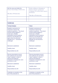| with the venue and reflect the<br>Venue's knowledge of their area.<br>Tim eline of Production: | before editing or changing it,<br>both on longer versions/on<br>webpages as well as short copy in<br>brochures.<br>Tim eline of Production: |  |
|------------------------------------------------------------------------------------------------|---------------------------------------------------------------------------------------------------------------------------------------------|--|
|                                                                                                |                                                                                                                                             |  |
|                                                                                                |                                                                                                                                             |  |

# Audiences

| <b>Touring Company</b>                                                                                                                                                                                                                                                                             | <b>Venue</b>                                                                                                                                                                                                                                                                               |  |
|----------------------------------------------------------------------------------------------------------------------------------------------------------------------------------------------------------------------------------------------------------------------------------------------------|--------------------------------------------------------------------------------------------------------------------------------------------------------------------------------------------------------------------------------------------------------------------------------------------|--|
| <b>Establish mechanisms for</b><br>inclusivity to improve the<br>audience experience. This should<br>include working together to<br>break down unhelpful<br>expectations around audience<br>behaviour and etiquette and<br>agree where the perceived<br>etiquette can a nd should be<br>challenged | Establish mechanisms for<br>inclusivity to improve the<br>audience experience. This should<br>include working together to<br>break down unhelpful<br>expectations around audience<br>behaviour and etiquette and<br>agree where the perceived<br>etiquette can and should be<br>challenged |  |
| Mechanism established:                                                                                                                                                                                                                                                                             | Mechanism established:                                                                                                                                                                                                                                                                     |  |
| Usability check:                                                                                                                                                                                                                                                                                   | Usability check:                                                                                                                                                                                                                                                                           |  |
| Responsibility lies with:                                                                                                                                                                                                                                                                          | Responsibility lies with:                                                                                                                                                                                                                                                                  |  |
| Discuss presumptions around<br>who audiences are and where<br>'value' is placed, in order to<br>welcome all audiences<br>irrespective of background, socio<br>economics or race<br>Mechanism established:<br>Usability check:                                                                      | Discuss presumptions around<br>who audiences are and where<br>'value' is placed, in order to<br>welcome all audiences<br>irrespective of background, socio<br>economics or race<br>Mechanism established:<br>Usability check:                                                              |  |
| Responsibility lies with:                                                                                                                                                                                                                                                                          | Responsibility lies with:                                                                                                                                                                                                                                                                  |  |
| Undertake an evaluation at the<br>end of the production to                                                                                                                                                                                                                                         | Undertake an evaluation at the<br>end of the production to                                                                                                                                                                                                                                 |  |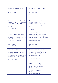| implement learnings and sharing<br>outcomes.                                                                                                                                                                           | implement learnings and sharing<br>outcomes.                                                                                                                                             |  |
|------------------------------------------------------------------------------------------------------------------------------------------------------------------------------------------------------------------------|------------------------------------------------------------------------------------------------------------------------------------------------------------------------------------------|--|
| Evaluation lead:                                                                                                                                                                                                       | Evaluation lead:                                                                                                                                                                         |  |
| Sharing practice:                                                                                                                                                                                                      | Sharing practice:                                                                                                                                                                        |  |
|                                                                                                                                                                                                                        |                                                                                                                                                                                          |  |
| Discuss with the Venue Front of<br>House and marketing teams work<br>around creating/supporting an<br>inclusive and equitable space for<br>audiences.                                                                  | Interrogate the offer within the<br>building (food, space to<br>work/socialise) as a whole, and<br>encourage accessibility for<br>everyone                                               |  |
| Responsibility lead:                                                                                                                                                                                                   | Tim e line:<br>Annual review:<br>Responsibility lead:                                                                                                                                    |  |
| Interrogate the language used<br>across the company website,<br>assets and marketing materials to<br>evaluate how welcoming and<br>inclusive it is to audiences                                                        | Interrogate the language used<br>within the building (signage,<br>instructions, announcements etc.)<br>and evaluate how welcoming and<br>inclusive it is to audiences                    |  |
| Tim e line:<br>Annual review:<br>Responsibility lead:                                                                                                                                                                  | Tim e line:<br>Annual review:<br>Responsibility lead:                                                                                                                                    |  |
| Have a dedicated staff member<br>responsible for audience<br>development in post as soon as<br>possible, in order to make<br>wraparound events happen in the<br>timeline needed for the venues<br>Responsibility lead: | Confirm and share a clear and<br>comprehensive budget for<br>audience development that can<br>be allocated to certain shows that<br>will help achieve its aim s.<br>Responsibility lead: |  |
|                                                                                                                                                                                                                        | Discuss with the Touring<br>Company their current audience<br>make-up and what the<br>expectations surrounding the<br>Production are.                                                    |  |
|                                                                                                                                                                                                                        | Timeline of Production:<br>Review process:<br>Responsibility lead:                                                                                                                       |  |